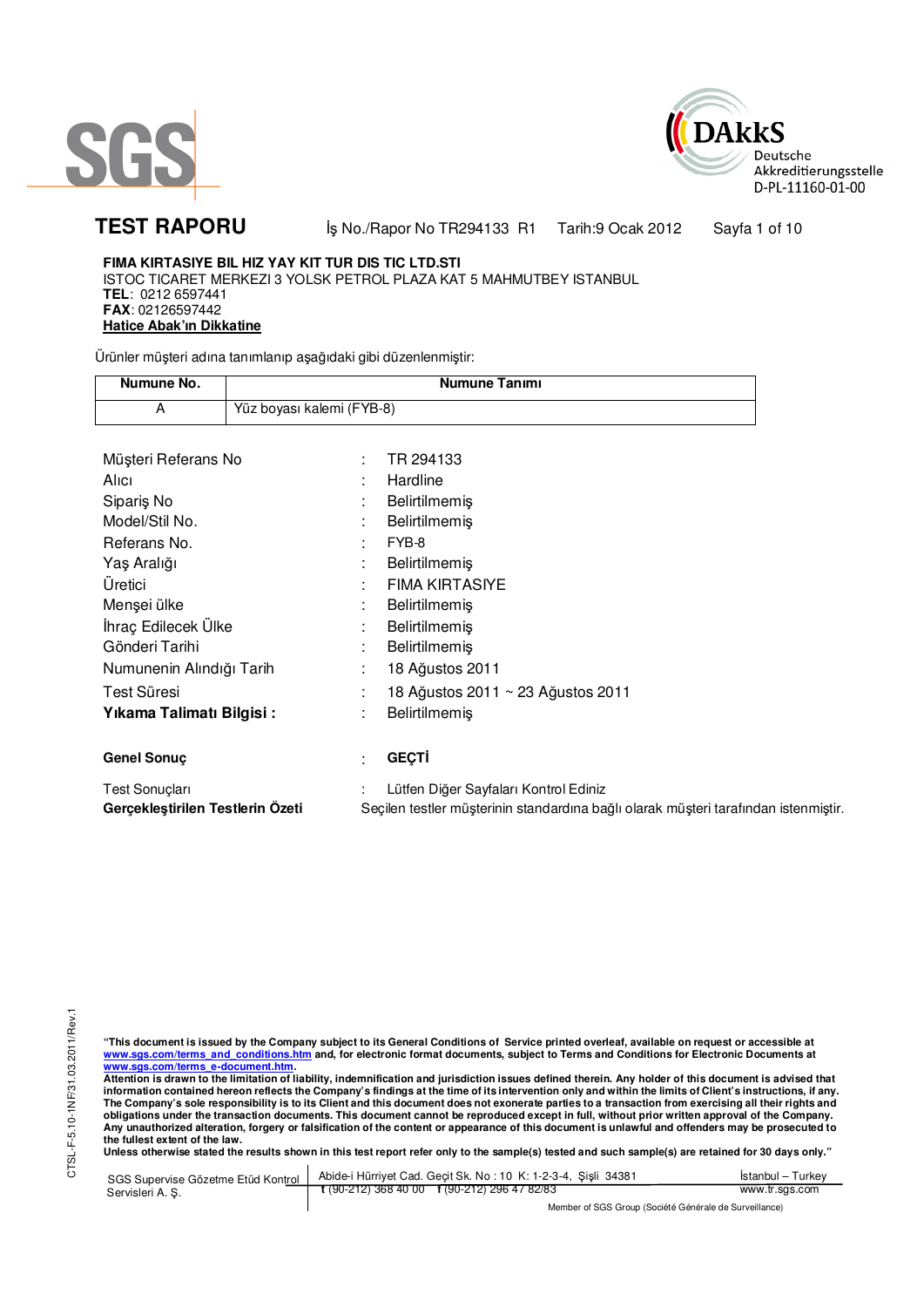



**TEST RAPORU** iş No./Rapor No TR294133 R1 Tarih:9 Ocak 2012 Sayfa 1 of 10

# **FIMA KIRTASIYE BIL HIZ YAY KIT TUR DIS TIC LTD.STI**

ISTOC TICARET MERKEZI 3 YOLSK PETROL PLAZA KAT 5 MAHMUTBEY ISTANBUL **TEL**: 0212 6597441 **FAX**: 02126597442 **Hatice Abak'ın Dikkatine**

Ürünler müşteri adına tanımlanıp aşağıdaki gibi düzenlenmiştir:

| Numune No. | Numune Tanımı             |  |
|------------|---------------------------|--|
|            | Yüz boyası kalemi (FYB-8) |  |

| Müşteri Referans No      |    | TR 294133                             |
|--------------------------|----|---------------------------------------|
| Alici                    | ٠  | Hardline                              |
| Siparis No               |    | <b>Belirtilmemiş</b>                  |
| Model/Stil No.           | t. | <b>Belirtilmemis</b>                  |
| Referans No.             | t  | FYB-8                                 |
| Yaş Aralığı              | t. | <b>Belirtilmemiş</b>                  |
| Üretici                  |    | <b>FIMA KIRTASIYE</b>                 |
| Menşei ülke              |    | <b>Belirtilmemiş</b>                  |
| İhraç Edilecek Ülke      | ÷  | Belirtilmemiş                         |
| Gönderi Tarihi           |    | <b>Belirtilmemiş</b>                  |
| Numunenin Alındığı Tarih | t. | 18 Ağustos 2011                       |
| Test Süresi              | t  | 18 Ağustos 2011 ~ 23 Ağustos 2011     |
| Yıkama Talimatı Bilgisi: | t. | Belirtilmemiş                         |
|                          |    |                                       |
| <b>Genel Sonuc</b>       | t  | <b>GECTI</b>                          |
| <b>Test Sonuclari</b>    |    | Lütfen Diğer Sayfaları Kontrol Ediniz |

"This document is issued by the Company subject to its General Conditions of Service printed overleaf, available on request or accessible at<br>www.sgs.com/terms\_and\_conditions.htm\_and, for electronic format documents, subjec <u>www.sgs.com/terms\_e-document.htm</u>.<br>Attention is drawn to the limitation of liability, indemnification and jurisdiction issues defined therein. Any holder of this document is advised that

**Gerçekleştirilen Testlerin Özeti** Seçilen testler müşterinin standardına bağlı olarak müşteri tarafından istenmiştir.

information contained hereon reflects the Company's findings at the time of its intervention only and within the limits of Client's instructions, if any.<br>The Company's sole responsibility is to its Client and this document **obligations under the transaction documents. This document cannot be reproduced except in full, without prior written approval of the Company. Any unauthorized alteration, forgery or falsification of the content or appearance of this document is unlawful and offenders may be prosecuted to the fullest extent of the law.** 

**Unless otherwise stated the results shown in this test report refer only to the sample(s) tested and such sample(s) are retained for 30 days only."** 

| SGS Supervise Gözetme Etüd Kontrol II | Abide-i Hürriyet Cad. Gecit Sk. No: 10 K: 1-2-3-4, Sisli 34381 | Istanbul – Turkev |
|---------------------------------------|----------------------------------------------------------------|-------------------|
| Servisleri A. S.                      | $\frac{1}{2}$ (90-212) 368 40 00 f (90-212) 296 47 82/83       | www.tr.sas.com    |
|                                       | Member of SGS Group (Société Générale de Surveillance)         |                   |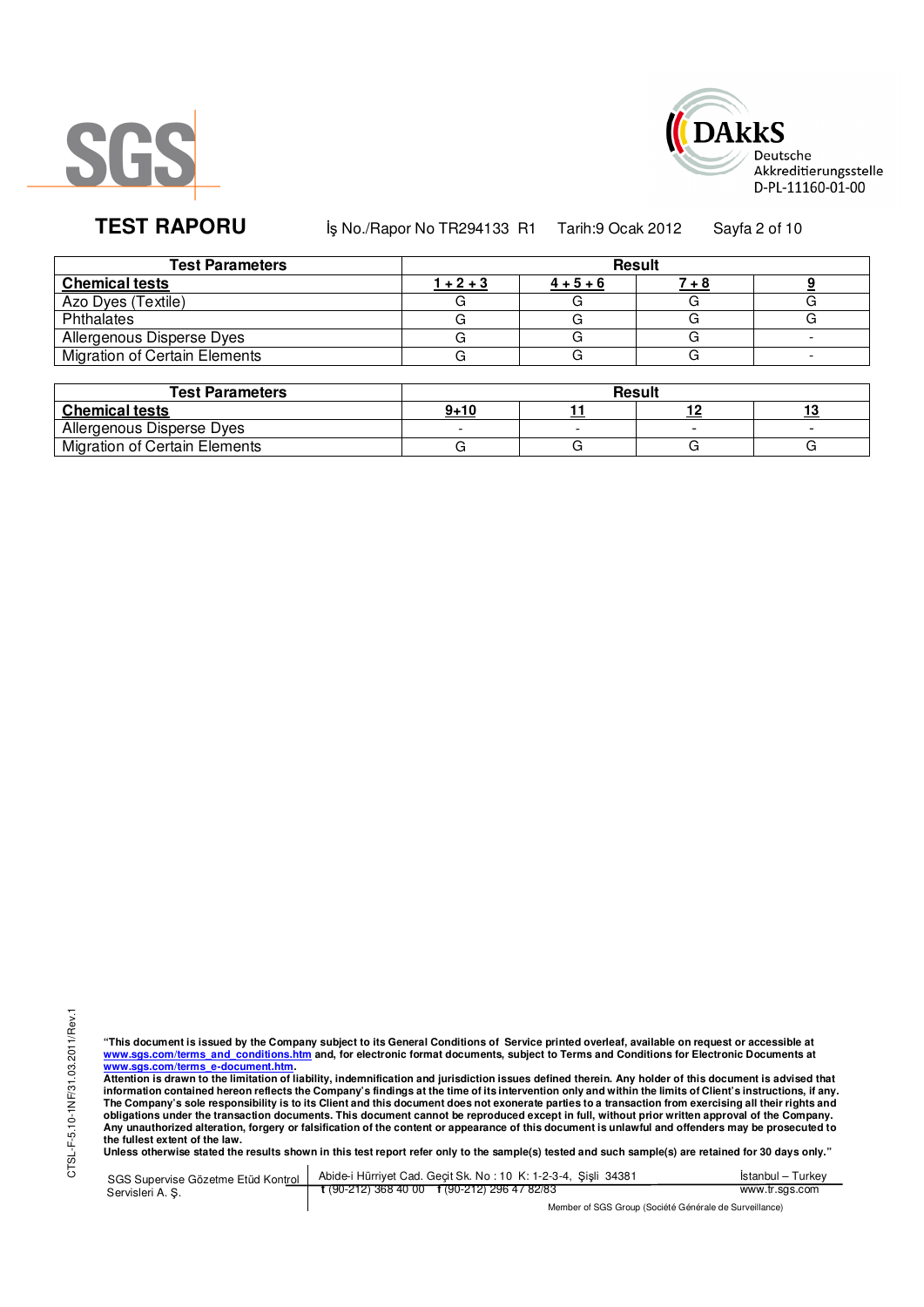



**TEST RAPORU** iş No./Rapor No TR294133 R1 Tarih:9 Ocak 2012 Sayfa 2 of 10

| <b>Test Parameters</b>        | Result      |             |  |  |  |
|-------------------------------|-------------|-------------|--|--|--|
| <b>Chemical tests</b>         | $1 + 2 + 3$ | $4 + 5 + 6$ |  |  |  |
| Azo Dyes (Textile)            |             |             |  |  |  |
| Phthalates                    |             |             |  |  |  |
| Allergenous Disperse Dyes     |             |             |  |  |  |
| Migration of Certain Elements |             |             |  |  |  |

| <b>Test Parameters</b>        | Result   |  |  |  |  |  |
|-------------------------------|----------|--|--|--|--|--|
| <b>Chemical tests</b>         | $9 + 10$ |  |  |  |  |  |
| Allergenous Disperse Dyes     |          |  |  |  |  |  |
| Migration of Certain Elements |          |  |  |  |  |  |

"This document is issued by the Company subject to its General Conditions of Service printed overleaf, available on request or accessible at<br>www.sgs.com/terms\_and\_conditions.htm\_and, for electronic format documents, subjec <u>www.sgs.com/terms\_e-document.htm</u>.<br>Attention is drawn to the limitation of liability, indemnification and jurisdiction issues defined therein. Any holder of this document is advised that

information contained hereon reflects the Company's findings at the time of its intervention only and within the limits of Client's instructions, if any.<br>The Company's sole responsibility is to its Client and this document obligations under the transaction documents. This document cannot be reproduced except in full, without prior written approval of the Company.<br>Any unauthorized alteration, forgery or falsification of the content or appeara

**Unless otherwise stated the results shown in this test report refer only to the sample(s) tested and such sample(s) are retained for 30 days only."** 

SGS Supervise Gözetme Etüd Kontrol Servisleri A. Ş. Abide-i Hürriyet Cad. Geçit Sk. No : 10 K: 1-2-3-4, Şişli 34381 **t** (90-212) 368 40 00 **f** (90-212) 296 47 82/83 İstanbul – Turkey www.tr.sgs.com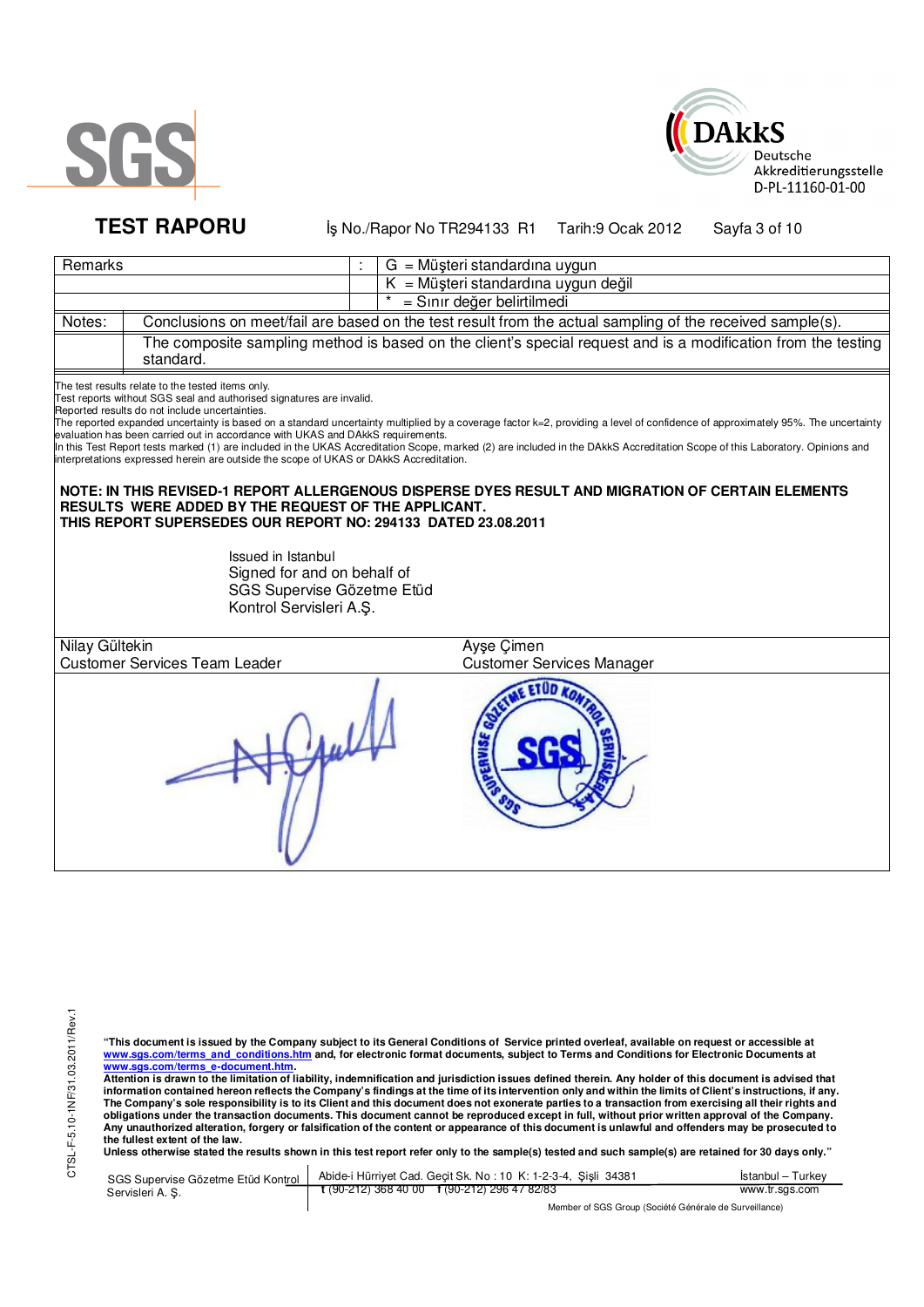



**TEST RAPORU** iş No./Rapor No TR294133 R1 Tarih:9 Ocak 2012 Sayfa 3 of 10

| Remarks        |                                                                                                                                                                                                                                                                                                                                                                                                                                                                                                                                                                                                       | $G = M\ddot{\omega}$ șteri standardına uygun                                                                                                                                                                                                                                                                                                                                                                                                                         |
|----------------|-------------------------------------------------------------------------------------------------------------------------------------------------------------------------------------------------------------------------------------------------------------------------------------------------------------------------------------------------------------------------------------------------------------------------------------------------------------------------------------------------------------------------------------------------------------------------------------------------------|----------------------------------------------------------------------------------------------------------------------------------------------------------------------------------------------------------------------------------------------------------------------------------------------------------------------------------------------------------------------------------------------------------------------------------------------------------------------|
|                |                                                                                                                                                                                                                                                                                                                                                                                                                                                                                                                                                                                                       | $K = M\ddot{\mu}$ şteri standardına uygun değil                                                                                                                                                                                                                                                                                                                                                                                                                      |
|                |                                                                                                                                                                                                                                                                                                                                                                                                                                                                                                                                                                                                       | = Sınır değer belirtilmedi                                                                                                                                                                                                                                                                                                                                                                                                                                           |
| Notes:         |                                                                                                                                                                                                                                                                                                                                                                                                                                                                                                                                                                                                       | Conclusions on meet/fail are based on the test result from the actual sampling of the received sample(s).                                                                                                                                                                                                                                                                                                                                                            |
|                | standard.                                                                                                                                                                                                                                                                                                                                                                                                                                                                                                                                                                                             | The composite sampling method is based on the client's special request and is a modification from the testing                                                                                                                                                                                                                                                                                                                                                        |
|                | The test results relate to the tested items only.<br>Test reports without SGS seal and authorised signatures are invalid.<br>Reported results do not include uncertainties.<br>evaluation has been carried out in accordance with UKAS and DAkkS requirements.<br>interpretations expressed herein are outside the scope of UKAS or DAkkS Accreditation.<br><b>RESULTS WERE ADDED BY THE REQUEST OF THE APPLICANT.</b><br>THIS REPORT SUPERSEDES OUR REPORT NO: 294133 DATED 23.08.2011<br>Issued in Istanbul<br>Signed for and on behalf of<br>SGS Supervise Gözetme Etüd<br>Kontrol Servisleri A.Ş. | The reported expanded uncertainty is based on a standard uncertainty multiplied by a coverage factor k=2, providing a level of confidence of approximately 95%. The uncertainty<br>In this Test Report tests marked (1) are included in the UKAS Accreditation Scope, marked (2) are included in the DAkkS Accreditation Scope of this Laboratory. Opinions and<br>NOTE: IN THIS REVISED-1 REPORT ALLERGENOUS DISPERSE DYES RESULT AND MIGRATION OF CERTAIN ELEMENTS |
| Nilay Gültekin | <b>Customer Services Team Leader</b>                                                                                                                                                                                                                                                                                                                                                                                                                                                                                                                                                                  | Ayse Cimen<br><b>Customer Services Manager</b>                                                                                                                                                                                                                                                                                                                                                                                                                       |
|                |                                                                                                                                                                                                                                                                                                                                                                                                                                                                                                                                                                                                       | <b>ETUD</b>                                                                                                                                                                                                                                                                                                                                                                                                                                                          |

"This document is issued by the Company subject to its General Conditions of Service printed overleaf, available on request or accessible at<br>www.sgs.com/terms\_and\_conditions.htm\_and, for electronic format documents, subjec

<u>www.sgs.com/terms\_e-document.htm.</u><br>Attention is drawn to the limitation of liability, indemnification and jurisdiction issues defined therein. Any holder of this document is advised that<br>information contained hereon refle obligations under the transaction documents. This document cannot be reproduced except in full, without prior written approval of the Company.<br>Any unauthorized alteration, forgery or falsification of the content or appeara

**Unless otherwise stated the results shown in this test report refer only to the sample(s) tested and such sample(s) are retained for 30 days only."** 

| SGS Supervise Gözetme Etüd Kontrol | Abide-i Hürriyet Cad. Gecit Sk. No: 10 K: 1-2-3-4, Sisli 34381       | Istanbul – Turkev |
|------------------------------------|----------------------------------------------------------------------|-------------------|
| Servisleri A. S.                   | $\frac{1}{2}$ (90-212) 368 40 00 $\frac{1}{2}$ (90-212) 296 47 82/83 | www.tr.sgs.com    |
|                                    | Member of SGS Group (Société Générale de Surveillance)               |                   |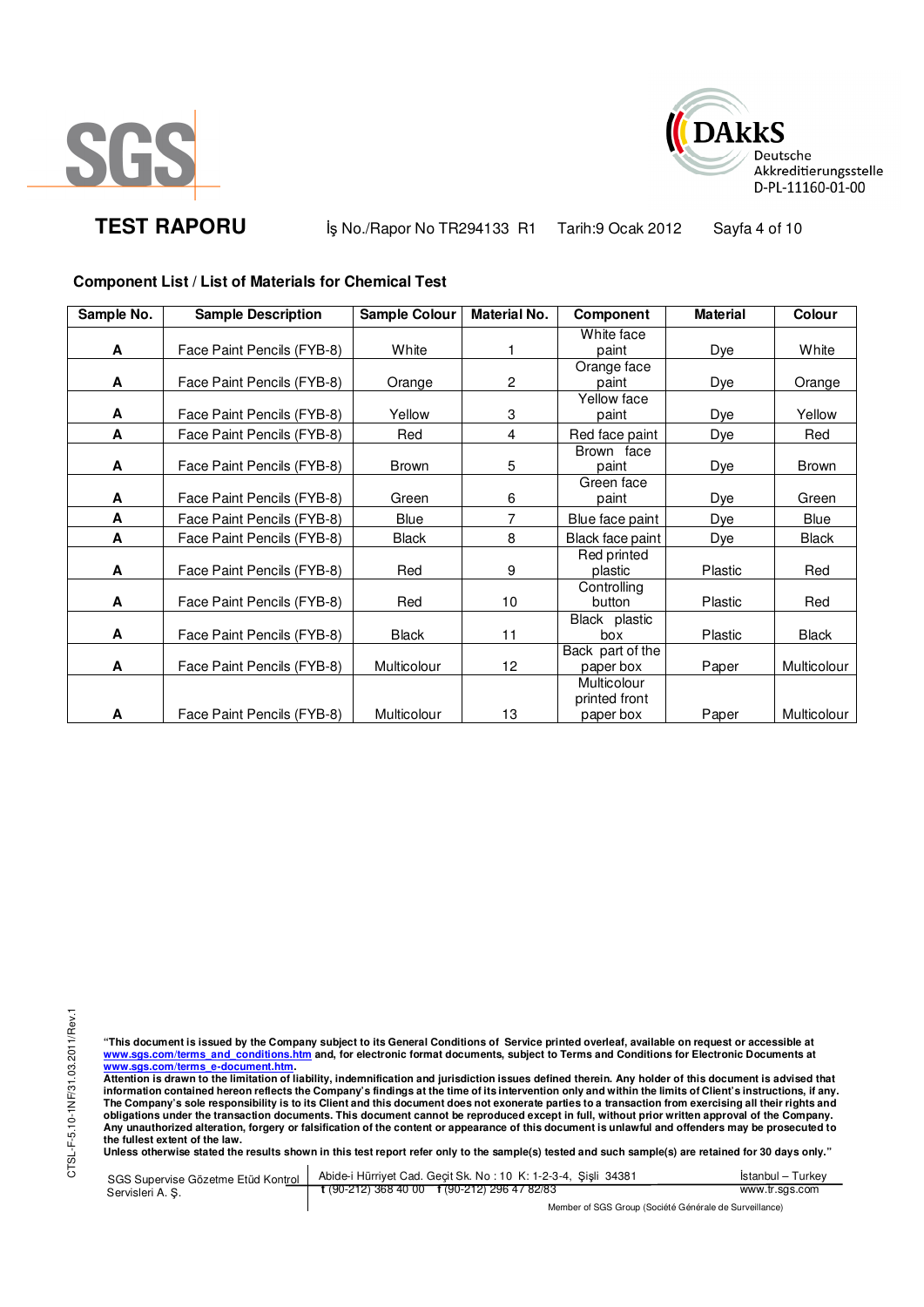



**TEST RAPORU** iş No./Rapor No TR294133 R1 Tarih:9 Ocak 2012 Sayfa 4 of 10

### **Component List / List of Materials for Chemical Test**

| Sample No. | <b>Sample Description</b>  | <b>Sample Colour</b> | <b>Material No.</b> | Component        | <b>Material</b> | Colour       |
|------------|----------------------------|----------------------|---------------------|------------------|-----------------|--------------|
|            |                            |                      |                     | White face       |                 |              |
| A          | Face Paint Pencils (FYB-8) | White                |                     | paint            | Dye             | White        |
|            |                            |                      |                     | Orange face      |                 |              |
| A          | Face Paint Pencils (FYB-8) | Orange               | 2                   | paint            | Dye             | Orange       |
|            |                            |                      |                     | Yellow face      |                 |              |
| A          | Face Paint Pencils (FYB-8) | Yellow               | 3                   | paint            | Dye             | Yellow       |
| A          | Face Paint Pencils (FYB-8) | Red                  | 4                   | Red face paint   | Dye             | Red          |
|            |                            |                      |                     | Brown face       |                 |              |
| A          | Face Paint Pencils (FYB-8) | Brown                | 5                   | paint            | Dye             | <b>Brown</b> |
|            |                            |                      |                     | Green face       |                 |              |
| A          | Face Paint Pencils (FYB-8) | Green                | 6                   | paint            | Dye             | Green        |
| A          | Face Paint Pencils (FYB-8) | Blue                 | 7                   | Blue face paint  | Dye             | Blue         |
| A          | Face Paint Pencils (FYB-8) | <b>Black</b>         | 8                   | Black face paint | D <u>ye</u>     | <b>Black</b> |
|            |                            |                      |                     | Red printed      |                 |              |
| A          | Face Paint Pencils (FYB-8) | Red                  | 9                   | plastic          | <b>Plastic</b>  | Red          |
|            |                            |                      |                     | Controlling      |                 |              |
| A          | Face Paint Pencils (FYB-8) | Red                  | 10                  | button           | Plastic         | Red          |
|            |                            |                      |                     | Black plastic    |                 |              |
| A          | Face Paint Pencils (FYB-8) | <b>Black</b>         | 11                  | box              | Plastic         | <b>Black</b> |
|            |                            |                      |                     | Back part of the |                 |              |
| A          | Face Paint Pencils (FYB-8) | Multicolour          | 12                  | paper box        | Paper           | Multicolour  |
|            |                            |                      |                     | Multicolour      |                 |              |
|            |                            |                      |                     | printed front    |                 |              |
| A          | Face Paint Pencils (FYB-8) | Multicolour          | 13                  | paper box        | Paper           | Multicolour  |

"This document is issued by the Company subject to its General Conditions of Service printed overleaf, available on request or accessible at<br>www.sgs.com/terms\_and\_conditions.htm\_and, for electronic format documents, subjec <u>www.sgs.com/terms\_e-document.htm</u>.<br>Attention is drawn to the limitation of liability, indemnification and jurisdiction issues defined therein. Any holder of this document is advised that

information contained hereon reflects the Company's findings at the time of its intervention only and within the limits of Client's instructions, if any.<br>The Company's sole responsibility is to its Client and this document **obligations under the transaction documents. This document cannot be reproduced except in full, without prior written approval of the Company. Any unauthorized alteration, forgery or falsification of the content or appearance of this document is unlawful and offenders may be prosecuted to the fullest extent of the law.** 

**Unless otherwise stated the results shown in this test report refer only to the sample(s) tested and such sample(s) are retained for 30 days only."** 

SGS Supervise Gözetme Etüd Kontrol Servisleri A. Ş. Abide-i Hürriyet Cad. Geçit Sk. No : 10 K: 1-2-3-4, Şişli 34381 **t** (90-212) 368 40 00 **f** (90-212) 296 47 82/83 İstanbul – Turkey www.tr.sgs.com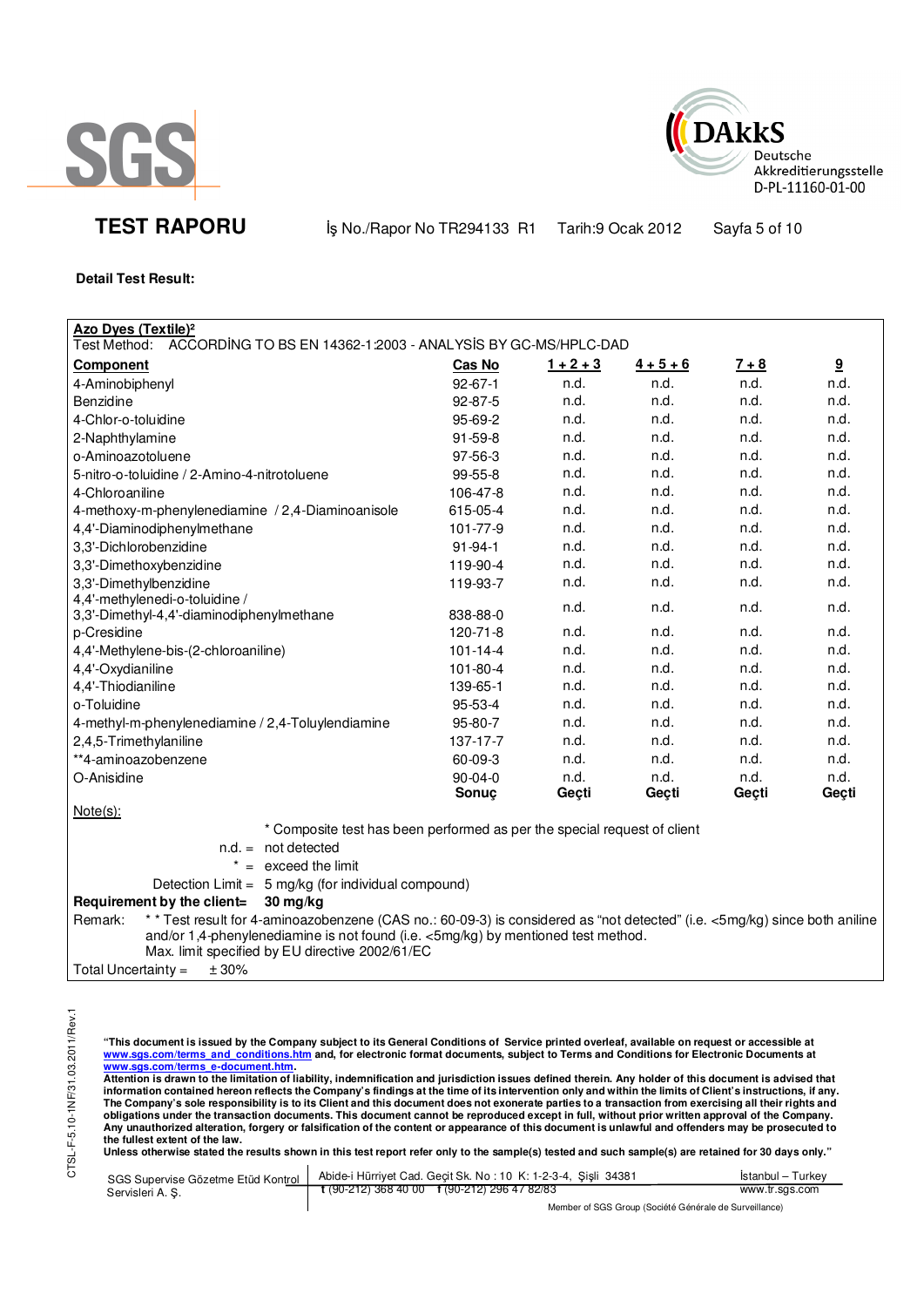



**TEST RAPORU** iş No./Rapor No TR294133 R1 Tarih:9 Ocak 2012 Sayfa 5 of 10

### **Detail Test Result:**

| Azo Dyes (Textile) <sup>2</sup>                                                                                                       |                |             |                   |         |                         |
|---------------------------------------------------------------------------------------------------------------------------------------|----------------|-------------|-------------------|---------|-------------------------|
| Test Method: ACCORDING TO BS EN 14362-1:2003 - ANALYSIS BY GC-MS/HPLC-DAD                                                             |                |             |                   |         |                         |
| <b>Component</b>                                                                                                                      | <b>Cas No</b>  | $1 + 2 + 3$ | $\frac{4+5+6}{6}$ | $7 + 8$ | $\overline{\mathbf{g}}$ |
| 4-Aminobiphenyl                                                                                                                       | $92 - 67 - 1$  | n.d.        | n.d.              | n.d.    | n.d.                    |
| Benzidine                                                                                                                             | 92-87-5        | n.d.        | n.d.              | n.d.    | n.d.                    |
| 4-Chlor-o-toluidine                                                                                                                   | 95-69-2        | n.d.        | n.d.              | n.d.    | n.d.                    |
| 2-Naphthylamine                                                                                                                       | $91 - 59 - 8$  | n.d.        | n.d.              | n.d.    | n.d.                    |
| o-Aminoazotoluene                                                                                                                     | 97-56-3        | n.d.        | n.d.              | n.d.    | n.d.                    |
| 5-nitro-o-toluidine / 2-Amino-4-nitrotoluene                                                                                          | 99-55-8        | n.d.        | n.d.              | n.d.    | n.d.                    |
| 4-Chloroaniline                                                                                                                       | 106-47-8       | n.d.        | n.d.              | n.d.    | n.d.                    |
| 4-methoxy-m-phenylenediamine / 2,4-Diaminoanisole                                                                                     | 615-05-4       | n.d.        | n.d.              | n.d.    | n.d.                    |
| 4,4'-Diaminodiphenylmethane                                                                                                           | 101-77-9       | n.d.        | n.d.              | n.d.    | n.d.                    |
| 3,3'-Dichlorobenzidine                                                                                                                | $91 - 94 - 1$  | n.d.        | n.d.              | n.d.    | n.d.                    |
| 3,3'-Dimethoxybenzidine                                                                                                               | 119-90-4       | n.d.        | n.d.              | n.d.    | n.d.                    |
| 3,3'-Dimethylbenzidine                                                                                                                | 119-93-7       | n.d.        | n.d.              | n.d.    | n.d.                    |
| 4,4'-methylenedi-o-toluidine /                                                                                                        |                | n.d.        | n.d.              | n.d.    | n.d.                    |
| 3,3'-Dimethyl-4,4'-diaminodiphenylmethane                                                                                             | 838-88-0       |             |                   |         |                         |
| p-Cresidine                                                                                                                           | $120 - 71 - 8$ | n.d.        | n.d.              | n.d.    | n.d.                    |
| 4,4'-Methylene-bis-(2-chloroaniline)                                                                                                  | $101 - 14 - 4$ | n.d.        | n.d.              | n.d.    | n.d.                    |
| 4,4'-Oxydianiline                                                                                                                     | 101-80-4       | n.d.        | n.d.              | n.d.    | n.d.                    |
| 4,4'-Thiodianiline                                                                                                                    | 139-65-1       | n.d.        | n.d.              | n.d.    | n.d.                    |
| o-Toluidine                                                                                                                           | 95-53-4        | n.d.        | n.d.              | n.d.    | n.d.                    |
| 4-methyl-m-phenylenediamine / 2,4-Toluylendiamine                                                                                     | 95-80-7        | n.d.        | n.d.              | n.d.    | n.d.                    |
| 2,4,5-Trimethylaniline                                                                                                                | 137-17-7       | n.d.        | n.d.              | n.d.    | n.d.                    |
| **4-aminoazobenzene                                                                                                                   | 60-09-3        | n.d.        | n.d.              | n.d.    | n.d.                    |
| O-Anisidine                                                                                                                           | $90 - 04 - 0$  | n.d.        | n.d.              | n.d.    | n.d.                    |
|                                                                                                                                       | Sonuc          | Geçti       | Geçti             | Gecti   | Geçti                   |
| $Note(s)$ :                                                                                                                           |                |             |                   |         |                         |
| * Composite test has been performed as per the special request of client                                                              |                |             |                   |         |                         |
| $n.d. = not detected$                                                                                                                 |                |             |                   |         |                         |
| $* =$ exceed the limit                                                                                                                |                |             |                   |         |                         |
| Detection Limit = 5 mg/kg (for individual compound)                                                                                   |                |             |                   |         |                         |
| Requirement by the client=<br>30 mg/kg                                                                                                |                |             |                   |         |                         |
| * * Test result for 4-aminoazobenzene (CAS no.: 60-09-3) is considered as "not detected" (i.e. <5mg/kg) since both aniline<br>Remark: |                |             |                   |         |                         |

and/or 1,4-phenylenediamine is not found (i.e. <5mg/kg) by mentioned test method.

Max. limit specified by EU directive 2002/61/EC

Total Uncertainty =  $\pm 30\%$ 

"This document is issued by the Company subject to its General Conditions of Service printed overleaf, available on request or accessible at<br>www.sgs.com/terms\_and\_conditions.htm\_and, for electronic format documents, subjec <u>www.sgs.com/terms\_e-document.htm</u>.<br>Attention is drawn to the limitation of liability, indemnification and jurisdiction issues defined therein. Any holder of this document is advised that

information contained hereon reflects the Company's findings at the time of its intervention only and within the limits of Client's instructions, if any.<br>The Company's sole responsibility is to its Client and this document **obligations under the transaction documents. This document cannot be reproduced except in full, without prior written approval of the Company. Any unauthorized alteration, forgery or falsification of the content or appearance of this document is unlawful and offenders may be prosecuted to the fullest extent of the law.** 

Unless otherwise stated the results shown in this test report refer only to the sample(s) tested and such sample(s) are retained for 30 days only."

|                 | SGS Supervise Gözetme Etüd Kontrol   Abide-i Hürriyet Cad. Geçit Sk. No: 10 K: 1-2-3-4, Sişli 34381 | Istanbul – Turkey |
|-----------------|-----------------------------------------------------------------------------------------------------|-------------------|
| Servisleri A.S. | $\frac{1}{2}$ (90-212) 368 40 00 f (90-212) 296 47 82/83                                            | www.tr.sgs.com    |
|                 | Mambar of BCB Crown (Booidtó Cápárolo de Buruaillonge)                                              |                   |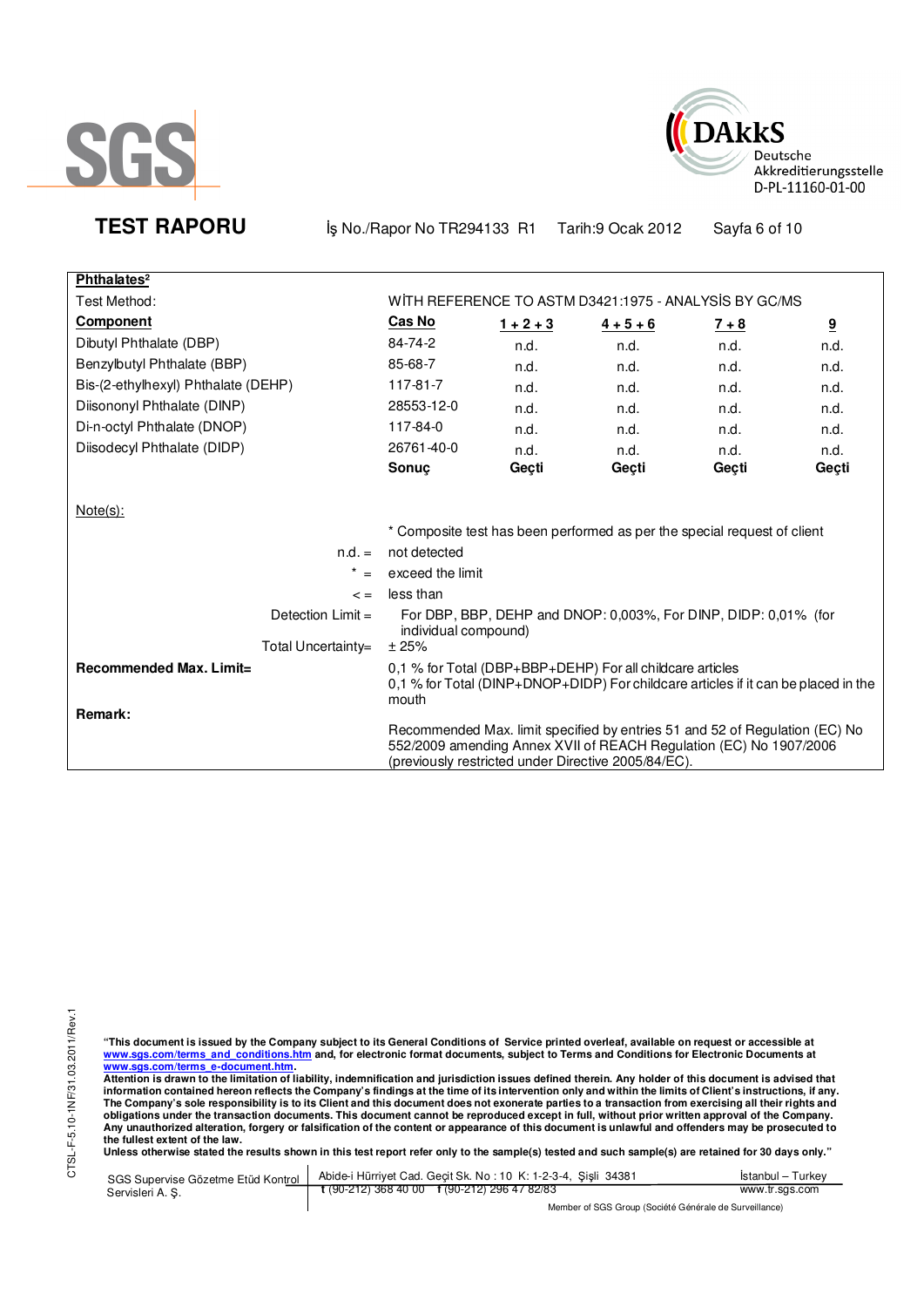



**TEST RAPORU** iş No./Rapor No TR294133 R1 Tarih:9 Ocak 2012 Sayfa 6 of 10

| Phthalates <sup>2</sup>             |                      |             |                                                                                                                                                                                                         |         |       |
|-------------------------------------|----------------------|-------------|---------------------------------------------------------------------------------------------------------------------------------------------------------------------------------------------------------|---------|-------|
| Test Method:                        |                      |             | WITH REFERENCE TO ASTM D3421:1975 - ANALYSIS BY GC/MS                                                                                                                                                   |         |       |
| <b>Component</b>                    | Cas No               | $1 + 2 + 3$ | $4 + 5 + 6$                                                                                                                                                                                             | $7 + 8$ | 9     |
| Dibutyl Phthalate (DBP)             | 84-74-2              | n.d.        | n.d.                                                                                                                                                                                                    | n.d.    | n.d.  |
| Benzylbutyl Phthalate (BBP)         | 85-68-7              | n.d.        | n.d.                                                                                                                                                                                                    | n.d.    | n.d.  |
| Bis-(2-ethylhexyl) Phthalate (DEHP) | 117-81-7             | n.d.        | n.d.                                                                                                                                                                                                    | n.d.    | n.d.  |
| Diisononyl Phthalate (DINP)         | 28553-12-0           | n.d.        | n.d.                                                                                                                                                                                                    | n.d.    | n.d.  |
| Di-n-octyl Phthalate (DNOP)         | 117-84-0             | n.d.        | n.d.                                                                                                                                                                                                    | n.d.    | n.d.  |
| Diisodecyl Phthalate (DIDP)         | 26761-40-0           | n.d.        | n.d.                                                                                                                                                                                                    | n.d.    | n.d.  |
|                                     | Sonuc                | Geçti       | Geçti                                                                                                                                                                                                   | Geçti   | Geçti |
|                                     |                      |             |                                                                                                                                                                                                         |         |       |
| $Note(s)$ :                         |                      |             |                                                                                                                                                                                                         |         |       |
|                                     |                      |             | * Composite test has been performed as per the special request of client                                                                                                                                |         |       |
| $n.d. =$                            | not detected         |             |                                                                                                                                                                                                         |         |       |
| $\star$                             | exceed the limit     |             |                                                                                                                                                                                                         |         |       |
| $\leq$ $=$                          | less than            |             |                                                                                                                                                                                                         |         |       |
| Detection $Limit =$                 | individual compound) |             | For DBP, BBP, DEHP and DNOP: 0,003%, For DINP, DIDP: 0,01% (for                                                                                                                                         |         |       |
| Total Uncertainty=                  | ±25%                 |             |                                                                                                                                                                                                         |         |       |
| Recommended Max. Limit=<br>Remark:  | mouth                |             | 0.1 % for Total (DBP+BBP+DEHP) For all childcare articles<br>0,1 % for Total (DINP+DNOP+DIDP) For childcare articles if it can be placed in the                                                         |         |       |
|                                     |                      |             | Recommended Max. limit specified by entries 51 and 52 of Regulation (EC) No<br>552/2009 amending Annex XVII of REACH Regulation (EC) No 1907/2006<br>(previously restricted under Directive 2005/84/EC) |         |       |

"This document is issued by the Company subject to its General Conditions of Service printed overleaf, available on request or accessible at<br>www.sgs.com/terms\_and\_conditions.htm\_and, for electronic format documents, subjec

<u>www.sgs.com/terms\_e-document.htm.</u><br>Attention is drawn to the limitation of liability, indemnification and jurisdiction issues defined therein. Any holder of this document is advised that<br>information contained hereon refle obligations under the transaction documents. This document cannot be reproduced except in full, without prior written approval of the Company.<br>Any unauthorized alteration, forgery or falsification of the content or appeara

**Unless otherwise stated the results shown in this test report refer only to the sample(s) tested and such sample(s) are retained for 30 days only."** 

|                  | SGS Supervise Gözetme Etüd Kontrol   Abide-i Hürriyet Cad. Geçit Sk. No: 10 K: 1-2-3-4, Şişli 34381      | Istanbul – Turkev |
|------------------|----------------------------------------------------------------------------------------------------------|-------------------|
| Servisleri A. S. | $\frac{1}{2}$ (90-212) 368 40 00 f (90-212) 296 47 82/83                                                 | www.tr.sas.com    |
|                  | $M_{\rm BH}$ . The state of $\sim$ $\sim$ $M_{\rm BH}$ is the $\sim$ $M_{\rm BH}$ is the state of $\sim$ |                   |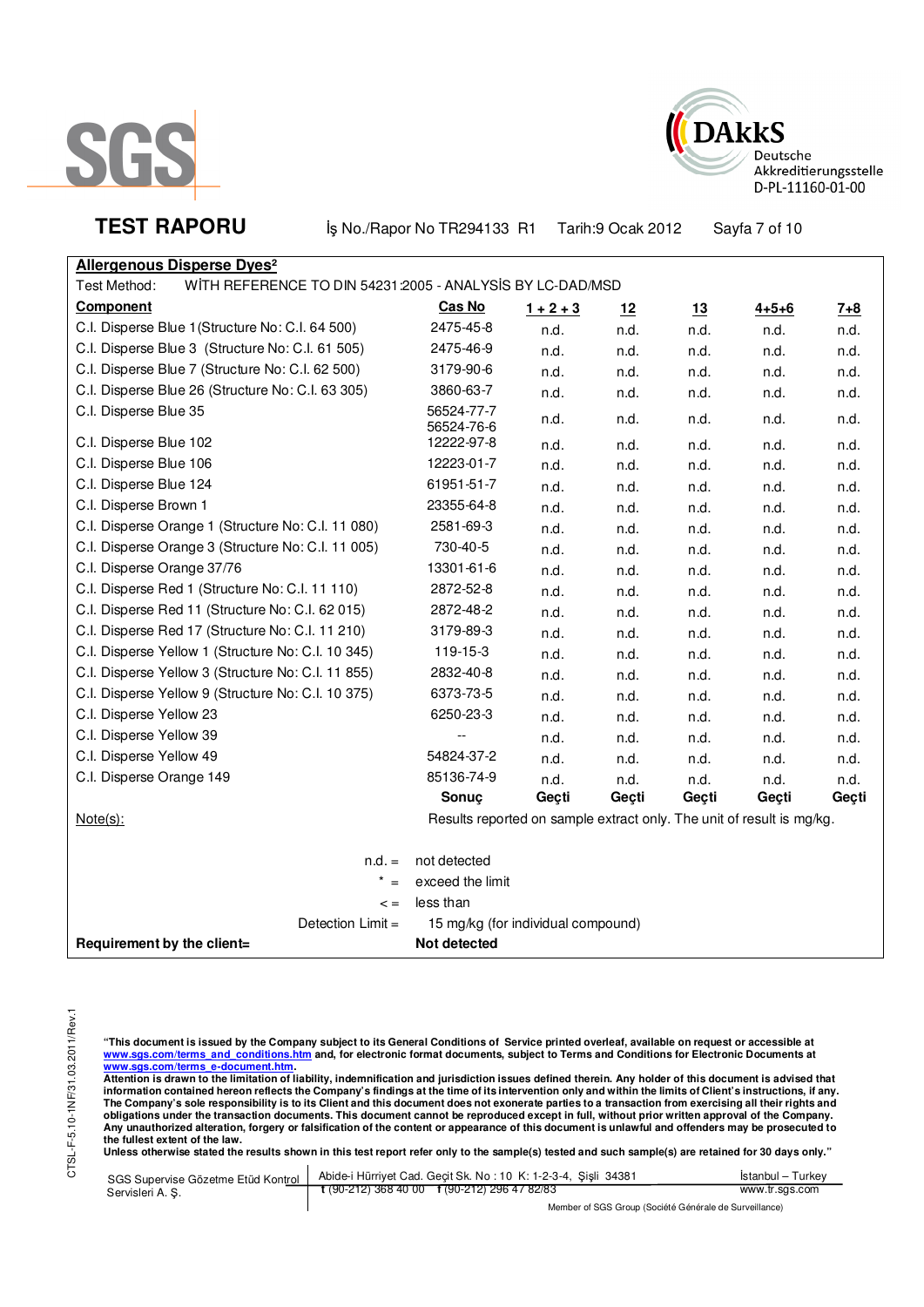



**TEST RAPORU** iş No./Rapor No TR294133 R1 Tarih:9 Ocak 2012 Sayfa 7 of 10

| <b>Allergenous Disperse Dyes<sup>2</sup></b>                              |                                                                       |             |       |       |             |       |
|---------------------------------------------------------------------------|-----------------------------------------------------------------------|-------------|-------|-------|-------------|-------|
| WITH REFERENCE TO DIN 54231:2005 - ANALYSIS BY LC-DAD/MSD<br>Test Method: |                                                                       |             |       |       |             |       |
| <b>Component</b>                                                          | Cas No                                                                | $1 + 2 + 3$ | 12    | 13    | $4 + 5 + 6$ | $7+8$ |
| C.I. Disperse Blue 1 (Structure No: C.I. 64 500)                          | 2475-45-8                                                             | n.d.        | n.d.  | n.d.  | n.d.        | n.d.  |
| C.I. Disperse Blue 3 (Structure No: C.I. 61 505)                          | 2475-46-9                                                             | n.d.        | n.d.  | n.d.  | n.d.        | n.d.  |
| C.I. Disperse Blue 7 (Structure No: C.I. 62 500)                          | 3179-90-6                                                             | n.d.        | n.d.  | n.d.  | n.d.        | n.d.  |
| C.I. Disperse Blue 26 (Structure No: C.I. 63 305)                         | 3860-63-7                                                             | n.d.        | n.d.  | n.d.  | n.d.        | n.d.  |
| C.I. Disperse Blue 35                                                     | 56524-77-7<br>56524-76-6                                              | n.d.        | n.d.  | n.d.  | n.d.        | n.d.  |
| C.I. Disperse Blue 102                                                    | 12222-97-8                                                            | n.d.        | n.d.  | n.d.  | n.d.        | n.d.  |
| C.I. Disperse Blue 106                                                    | 12223-01-7                                                            | n.d.        | n.d.  | n.d.  | n.d.        | n.d.  |
| C.I. Disperse Blue 124                                                    | 61951-51-7                                                            | n.d.        | n.d.  | n.d.  | n.d.        | n.d.  |
| C.I. Disperse Brown 1                                                     | 23355-64-8                                                            | n.d.        | n.d.  | n.d.  | n.d.        | n.d.  |
| C.I. Disperse Orange 1 (Structure No: C.I. 11 080)                        | 2581-69-3                                                             | n.d.        | n.d.  | n.d.  | n.d.        | n.d.  |
| C.I. Disperse Orange 3 (Structure No: C.I. 11 005)                        | 730-40-5                                                              | n.d.        | n.d.  | n.d.  | n.d.        | n.d.  |
| C.I. Disperse Orange 37/76                                                | 13301-61-6                                                            | n.d.        | n.d.  | n.d.  | n.d.        | n.d.  |
| C.I. Disperse Red 1 (Structure No: C.I. 11 110)                           | 2872-52-8                                                             | n.d.        | n.d.  | n.d.  | n.d.        | n.d.  |
| C.I. Disperse Red 11 (Structure No: C.I. 62 015)                          | 2872-48-2                                                             | n.d.        | n.d.  | n.d.  | n.d.        | n.d.  |
| C.I. Disperse Red 17 (Structure No: C.I. 11 210)                          | 3179-89-3                                                             | n.d.        | n.d.  | n.d.  | n.d.        | n.d.  |
| C.I. Disperse Yellow 1 (Structure No: C.I. 10 345)                        | 119-15-3                                                              | n.d.        | n.d.  | n.d.  | n.d.        | n.d.  |
| C.I. Disperse Yellow 3 (Structure No: C.I. 11 855)                        | 2832-40-8                                                             | n.d.        | n.d.  | n.d.  | n.d.        | n.d.  |
| C.I. Disperse Yellow 9 (Structure No: C.I. 10 375)                        | 6373-73-5                                                             | n.d.        | n.d.  | n.d.  | n.d.        | n.d.  |
| C.I. Disperse Yellow 23                                                   | 6250-23-3                                                             | n.d.        | n.d.  | n.d.  | n.d.        | n.d.  |
| C.I. Disperse Yellow 39                                                   | $\overline{\phantom{a}}$                                              | n.d.        | n.d.  | n.d.  | n.d.        | n.d.  |
| C.I. Disperse Yellow 49                                                   | 54824-37-2                                                            | n.d.        | n.d.  | n.d.  | n.d.        | n.d.  |
| C.I. Disperse Orange 149                                                  | 85136-74-9                                                            | n.d.        | n.d.  | n.d.  | n.d.        | n.d.  |
|                                                                           | Sonuç                                                                 | Geçti       | Geçti | Geçti | Geçti       | Geçti |
| $Note(s)$ :                                                               | Results reported on sample extract only. The unit of result is mg/kg. |             |       |       |             |       |
| $n.d. =$                                                                  | not detected                                                          |             |       |       |             |       |
| $* =$                                                                     | exceed the limit                                                      |             |       |       |             |       |
| $\lt$ =                                                                   | less than                                                             |             |       |       |             |       |
| Detection Limit =                                                         | 15 mg/kg (for individual compound)                                    |             |       |       |             |       |
| Requirement by the client=                                                | Not detected                                                          |             |       |       |             |       |

"This document is issued by the Company subject to its General Conditions of Service printed overleaf, available on request or accessible at<br>www.sgs.com/terms\_and\_conditions.htm\_and, for electronic format documents, subjec

<u>www.sgs.com/terms\_e-document.htm</u>.<br>Attention is drawn to the limitation of liability, indemnification and jurisdiction issues defined therein. Any holder of this document is advised that information contained hereon reflects the Company's findings at the time of its intervention only and within the limits of Client's instructions, if any.<br>The Company's sole responsibility is to its Client and this document obligations under the transaction documents. This document cannot be reproduced except in full, without prior written approval of the Company.<br>Any unauthorized alteration, forgery or falsification of the content or appeara

**Unless otherwise stated the results shown in this test report refer only to the sample(s) tested and such sample(s) are retained for 30 days only."** 

| SGS Supervise Gözetme Etüd Kontrol | Abide-i Hürriyet Cad. Gecit Sk. No: 10 K: 1-2-3-4, Sisli 34381                                           | Istanbul - Turkey |  |
|------------------------------------|----------------------------------------------------------------------------------------------------------|-------------------|--|
| Servisleri A. S.                   | $\frac{1}{2}$ (90-212) 368 40 00 f (90-212) 296 47 82/83                                                 | www.tr.sgs.com    |  |
|                                    | $M_{\rm BH}$ . The state of $\sim$ $\sim$ $M_{\rm BH}$ is the $\sim$ $M_{\rm BH}$ is the state of $\sim$ |                   |  |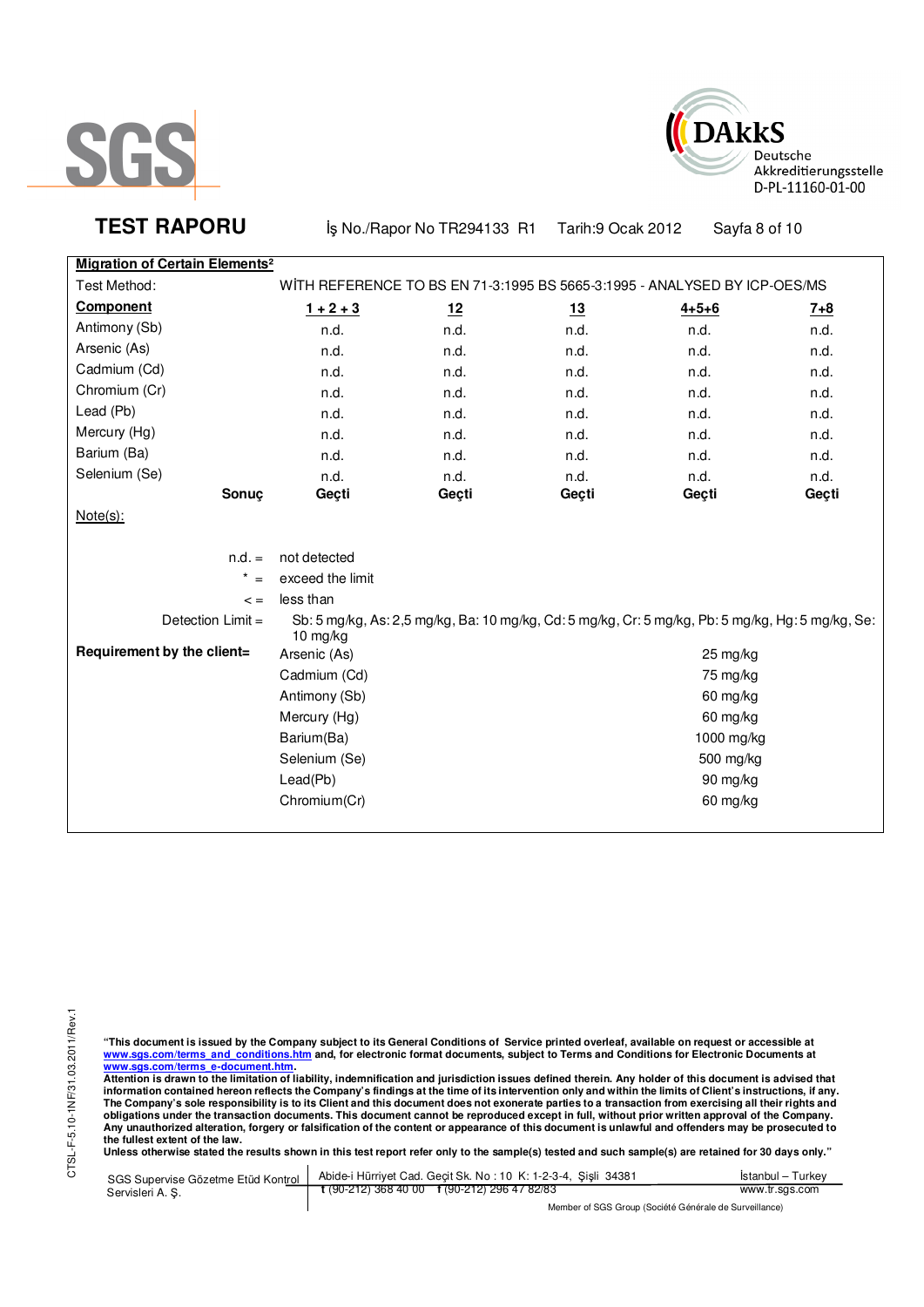



**TEST RAPORU** iş No./Rapor No TR294133 R1 Tarih:9 Ocak 2012 Sayfa 8 of 10

**Migration of Certain Elements²**

| migration or certain Elements |                                                                           |           |            |                                                                                                   |         |
|-------------------------------|---------------------------------------------------------------------------|-----------|------------|---------------------------------------------------------------------------------------------------|---------|
| Test Method:                  | WITH REFERENCE TO BS EN 71-3:1995 BS 5665-3:1995 - ANALYSED BY ICP-OES/MS |           |            |                                                                                                   |         |
| Component                     | $1 + 2 + 3$                                                               | <u>12</u> | <u>13</u>  | $4 + 5 + 6$                                                                                       | $7 + 8$ |
| Antimony (Sb)                 | n.d.                                                                      | n.d.      | n.d.       | n.d.                                                                                              | n.d.    |
| Arsenic (As)                  | n.d.                                                                      | n.d.      | n.d.       | n.d.                                                                                              | n.d.    |
| Cadmium (Cd)                  | n.d.                                                                      | n.d.      | n.d.       | n.d.                                                                                              | n.d.    |
| Chromium (Cr)                 | n.d.                                                                      | n.d.      | n.d.       | n.d.                                                                                              | n.d.    |
| Lead (Pb)                     | n.d.                                                                      | n.d.      | n.d.       | n.d.                                                                                              | n.d.    |
| Mercury (Hg)                  | n.d.                                                                      | n.d.      | n.d.       | n.d.                                                                                              | n.d.    |
| Barium (Ba)                   | n.d.                                                                      | n.d.      | n.d.       | n.d.                                                                                              | n.d.    |
| Selenium (Se)                 | n.d.                                                                      | n.d.      | n.d.       | n.d.                                                                                              | n.d.    |
| Sonuç                         | Geçti                                                                     | Geçti     | Geçti      | Geçti                                                                                             | Geçti   |
| $Note(s)$ :                   |                                                                           |           |            |                                                                                                   |         |
|                               |                                                                           |           |            |                                                                                                   |         |
| $n.d. =$                      | not detected                                                              |           |            |                                                                                                   |         |
| $\star$<br>$=$                | exceed the limit                                                          |           |            |                                                                                                   |         |
| $\lt$ =                       | less than                                                                 |           |            |                                                                                                   |         |
| Detection Limit =             | 10 mg/kg                                                                  |           |            | Sb: 5 mg/kg, As: 2,5 mg/kg, Ba: 10 mg/kg, Cd: 5 mg/kg, Cr: 5 mg/kg, Pb: 5 mg/kg, Hg: 5 mg/kg, Se: |         |
| Requirement by the client=    | Arsenic (As)                                                              |           |            | 25 mg/kg                                                                                          |         |
|                               | Cadmium (Cd)                                                              |           | 75 mg/kg   |                                                                                                   |         |
|                               | Antimony (Sb)                                                             |           | 60 mg/kg   |                                                                                                   |         |
|                               | Mercury (Hg)                                                              |           | 60 mg/kg   |                                                                                                   |         |
|                               | Barium(Ba)                                                                |           | 1000 mg/kg |                                                                                                   |         |
|                               | Selenium (Se)                                                             |           | 500 mg/kg  |                                                                                                   |         |
|                               | Lead(Pb)                                                                  |           | 90 mg/kg   |                                                                                                   |         |
|                               | Chromium(Cr)                                                              |           |            | 60 mg/kg                                                                                          |         |
|                               |                                                                           |           |            |                                                                                                   |         |

"This document is issued by the Company subject to its General Conditions of Service printed overleaf, available on request or accessible at<br>www.sgs.com/terms\_and\_conditions.htm\_and, for electronic format documents, subjec

<u>www.sgs.com/terms\_e-document.htm.</u><br>Attention is drawn to the limitation of liability, indemnification and jurisdiction issues defined therein. Any holder of this document is advised that<br>information contained hereon refle obligations under the transaction documents. This document cannot be reproduced except in full, without prior written approval of the Company.<br>Any unauthorized alteration, forgery or falsification of the content or appeara

**Unless otherwise stated the results shown in this test report refer only to the sample(s) tested and such sample(s) are retained for 30 days only."** 

| SGS Supervise Gözetme Etüd Kontrol | Abide-i Hürriyet Cad. Gecit Sk. No: 10 K: 1-2-3-4, Sisli 34381 | Istanbul – Turkev                                      |  |  |
|------------------------------------|----------------------------------------------------------------|--------------------------------------------------------|--|--|
| Servisleri A. S.                   | $\frac{1}{2}$ (90-212) 368 40 00 f (90-212) 296 47 82/83       | www.tr.sgs.com                                         |  |  |
|                                    |                                                                | Member of SGS Group (Société Générale de Surveillance) |  |  |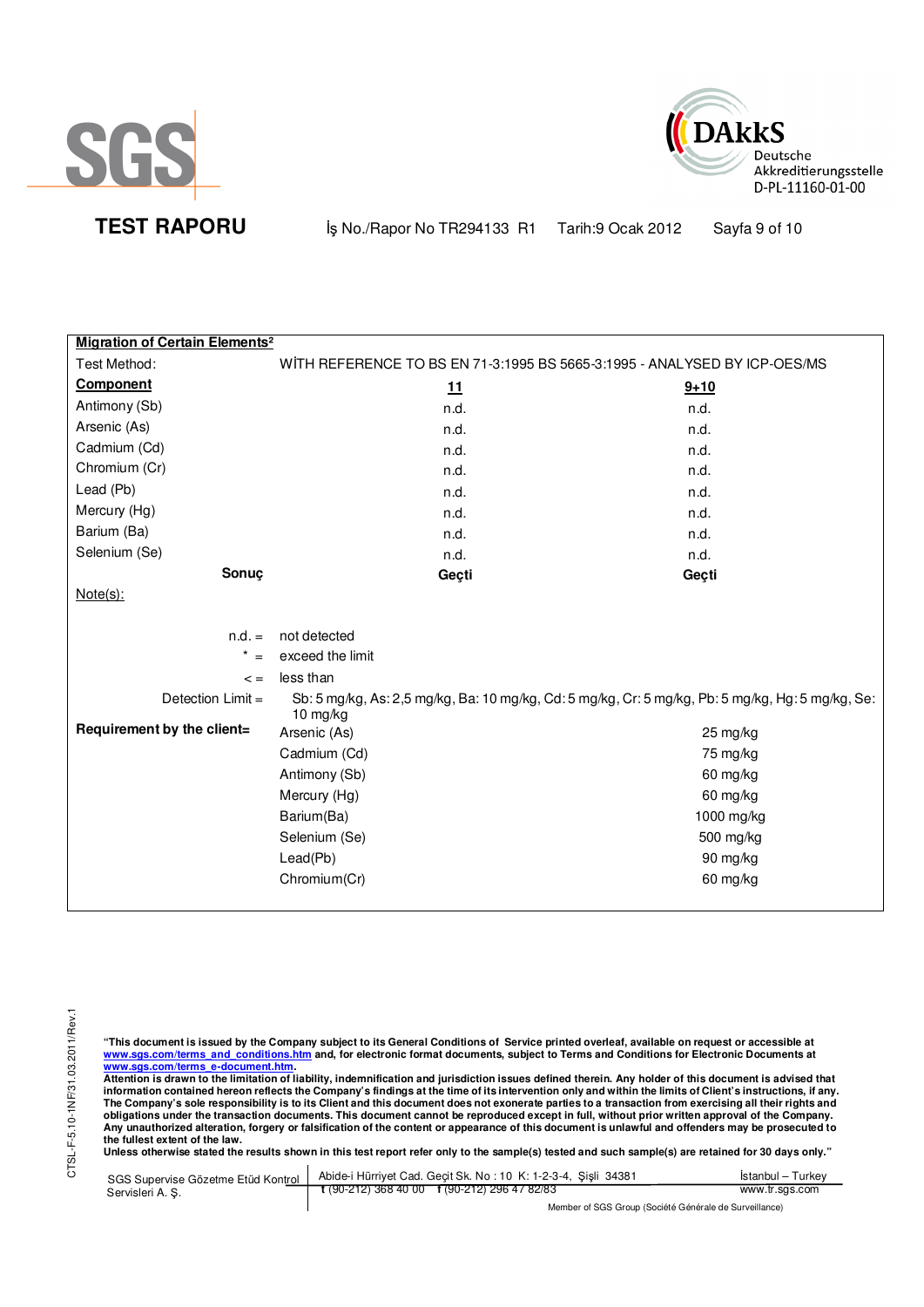



**TEST RAPORU b** iş No./Rapor No TR294133 R1 Tarih:9 Ocak 2012 Sayfa 9 of 10

| <b>Migration of Certain Elements<sup>2</sup></b> |                                                                           |                                                                                                   |
|--------------------------------------------------|---------------------------------------------------------------------------|---------------------------------------------------------------------------------------------------|
| Test Method:                                     | WITH REFERENCE TO BS EN 71-3:1995 BS 5665-3:1995 - ANALYSED BY ICP-OES/MS |                                                                                                   |
| Component                                        | 11                                                                        | $9 + 10$                                                                                          |
| Antimony (Sb)                                    | n.d.                                                                      | n.d.                                                                                              |
| Arsenic (As)                                     | n.d.                                                                      | n.d.                                                                                              |
| Cadmium (Cd)                                     | n.d.                                                                      | n.d.                                                                                              |
| Chromium (Cr)                                    | n.d.                                                                      | n.d.                                                                                              |
| Lead (Pb)                                        | n.d.                                                                      | n.d.                                                                                              |
| Mercury (Hg)                                     | n.d.                                                                      | n.d.                                                                                              |
| Barium (Ba)                                      | n.d.                                                                      | n.d.                                                                                              |
| Selenium (Se)                                    | n.d.                                                                      | n.d.                                                                                              |
| Sonuç                                            | Geçti                                                                     | Geçti                                                                                             |
| $Note(s)$ :                                      |                                                                           |                                                                                                   |
|                                                  |                                                                           |                                                                                                   |
| $n.d. =$                                         | not detected                                                              |                                                                                                   |
| $\star$                                          | exceed the limit                                                          |                                                                                                   |
| $\leq$ $=$                                       | less than                                                                 |                                                                                                   |
| Detection Limit =                                | 10 mg/kg                                                                  | Sb: 5 mg/kg, As: 2,5 mg/kg, Ba: 10 mg/kg, Cd: 5 mg/kg, Cr: 5 mg/kg, Pb: 5 mg/kg, Hg: 5 mg/kg, Se: |
| Requirement by the client=                       | Arsenic (As)                                                              | 25 mg/kg                                                                                          |
|                                                  | Cadmium (Cd)                                                              | 75 mg/kg                                                                                          |
|                                                  | Antimony (Sb)                                                             | 60 mg/kg                                                                                          |
|                                                  | Mercury (Hg)                                                              | 60 mg/kg                                                                                          |
|                                                  | Barium(Ba)                                                                | 1000 mg/kg                                                                                        |
|                                                  | Selenium (Se)                                                             | 500 mg/kg                                                                                         |
|                                                  | Leaf(Pb)                                                                  | 90 mg/kg                                                                                          |
|                                                  | Chromium(Cr)                                                              | 60 mg/kg                                                                                          |
|                                                  |                                                                           |                                                                                                   |

"This document is issued by the Company subject to its General Conditions of Service printed overleaf, available on request or accessible at<br>www.sgs.com/terms\_and\_conditions.htm\_and, for electronic format documents, subjec

<u>www.sgs.com/terms\_e-document.htm.</u><br>Attention is drawn to the limitation of liability, indemnification and jurisdiction issues defined therein. Any holder of this document is advised that<br>information contained hereon refle obligations under the transaction documents. This document cannot be reproduced except in full, without prior written approval of the Company.<br>Any unauthorized alteration, forgery or falsification of the content or appeara

**Unless otherwise stated the results shown in this test report refer only to the sample(s) tested and such sample(s) are retained for 30 days only."** 

| SGS Supervise Gözetme Etüd Kontrol | Abide-i Hürriyet Cad. Gecit Sk. No: 10 K: 1-2-3-4, Sisli 34381       | Istanbul - Turkey |  |
|------------------------------------|----------------------------------------------------------------------|-------------------|--|
| Servisleri A. S.                   | $\frac{1}{2}$ (90-212) 368 40 00 $\frac{1}{2}$ (90-212) 296 47 82/83 | www.tr.sgs.com    |  |
|                                    | Member of SGS Group (Société Générale de Surveillance)               |                   |  |